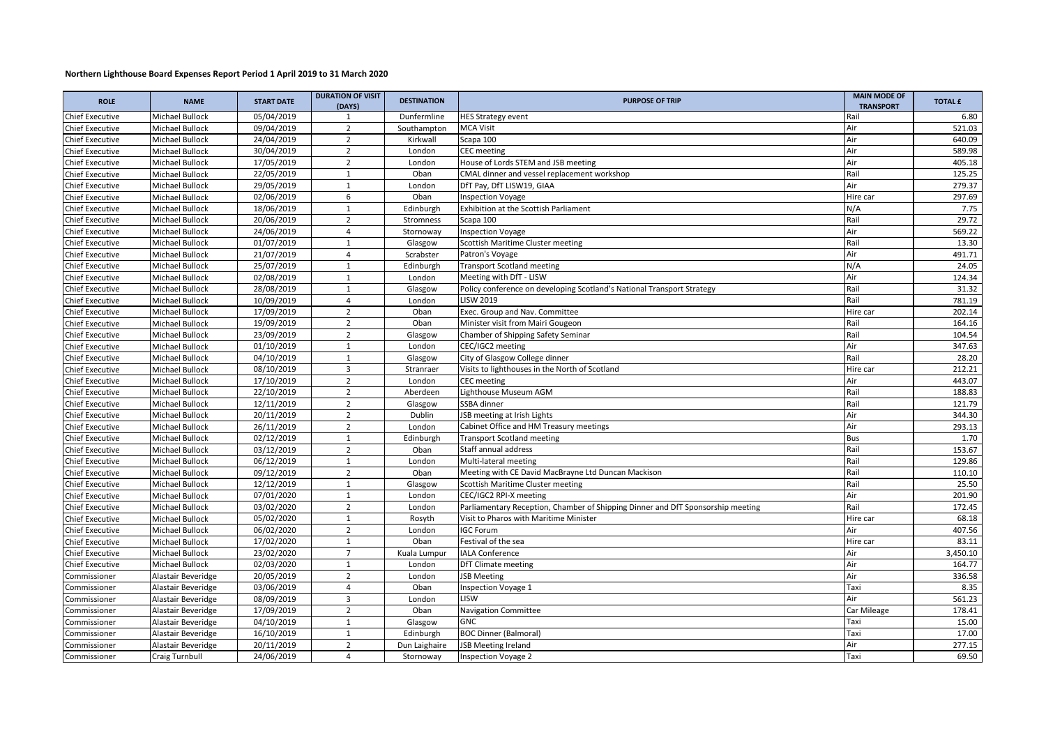## **Northern Lighthouse Board Expenses Report Period 1 April 2019 to 31 March 2020**

| <b>ROLE</b>            | <b>NAME</b>           | <b>START DATE</b> | <b>DURATION OF VISIT</b><br>(DAYS) | <b>DESTINATION</b> | <b>PURPOSE OF TRIP</b>                                                          | <b>MAIN MODE OF</b><br><b>TRANSPORT</b> | <b>TOTAL £</b> |
|------------------------|-----------------------|-------------------|------------------------------------|--------------------|---------------------------------------------------------------------------------|-----------------------------------------|----------------|
| <b>Chief Executive</b> | Michael Bullock       | 05/04/2019        | 1                                  | Dunfermline        | <b>HES Strategy event</b>                                                       | Rail                                    | 6.80           |
| Chief Executive        | Michael Bullock       | 09/04/2019        | $\overline{2}$                     | Southampton        | <b>MCA Visit</b>                                                                | Air                                     | 521.03         |
| <b>Chief Executive</b> | Michael Bullock       | 24/04/2019        | $\overline{2}$                     | Kirkwall           | Scapa 100                                                                       | Air                                     | 640.09         |
| <b>Chief Executive</b> | Michael Bullock       | 30/04/2019        | $\overline{2}$                     | London             | CEC meeting                                                                     | Air                                     | 589.98         |
| Chief Executive        | Michael Bullock       | 17/05/2019        | $\overline{2}$                     | London             | House of Lords STEM and JSB meeting                                             | Air                                     | 405.18         |
| <b>Chief Executive</b> | Michael Bullock       | 22/05/2019        | $\mathbf{1}$                       | Oban               | CMAL dinner and vessel replacement workshop                                     | Rail                                    | 125.25         |
| Chief Executive        | Michael Bullock       | 29/05/2019        | $\mathbf{1}$                       | London             | DfT Pay, DfT LISW19, GIAA                                                       | Air                                     | 279.37         |
| <b>Chief Executive</b> | Michael Bullock       | 02/06/2019        | 6                                  | Oban               | nspection Voyage                                                                | Hire car                                | 297.69         |
| <b>Chief Executive</b> | Michael Bullock       | 18/06/2019        | $\mathbf{1}$                       | Edinburgh          | Exhibition at the Scottish Parliament                                           | N/A                                     | 7.75           |
| <b>Chief Executive</b> | Michael Bullock       | 20/06/2019        | $\overline{2}$                     | Stromness          | Scapa 100                                                                       | Rail                                    | 29.72          |
| <b>Chief Executive</b> | Michael Bullock       | 24/06/2019        | $\overline{4}$                     | Stornoway          | <b>Inspection Voyage</b>                                                        | Air                                     | 569.22         |
| <b>Chief Executive</b> | Michael Bullock       | 01/07/2019        | $\mathbf{1}$                       | Glasgow            | Scottish Maritime Cluster meeting                                               | Rail                                    | 13.30          |
| <b>Chief Executive</b> | Michael Bullock       | 21/07/2019        | $\overline{4}$                     | Scrabster          | Patron's Voyage                                                                 | Air                                     | 491.71         |
| <b>Chief Executive</b> | Michael Bullock       | 25/07/2019        | 1                                  | Edinburgh          | <b>Transport Scotland meeting</b>                                               | N/A                                     | 24.05          |
| Chief Executive        | Michael Bullock       | 02/08/2019        | $\mathbf{1}$                       | London             | Meeting with DfT - LISW                                                         | Air                                     | 124.34         |
| Chief Executive        | Michael Bullock       | 28/08/2019        | $\mathbf{1}$                       | Glasgow            | Policy conference on developing Scotland's National Transport Strategy          | Rail                                    | 31.32          |
| Chief Executive        | Michael Bullock       | 10/09/2019        | $\overline{4}$                     | London             | <b>LISW 2019</b>                                                                | Rail                                    | 781.19         |
| Chief Executive        | Michael Bullock       | 17/09/2019        | $\overline{2}$                     | Oban               | Exec. Group and Nav. Committee                                                  | Hire car                                | 202.14         |
| <b>Chief Executive</b> | Michael Bullock       | 19/09/2019        | $\overline{2}$                     | Oban               | Minister visit from Mairi Gougeon                                               | Rail                                    | 164.16         |
| <b>Chief Executive</b> | Michael Bullock       | 23/09/2019        | $\overline{2}$                     | Glasgow            | Chamber of Shipping Safety Seminar                                              | Rail                                    | 104.54         |
| <b>Chief Executive</b> | Michael Bullock       | 01/10/2019        | $\mathbf{1}$                       | London             | CEC/IGC2 meeting                                                                | Air                                     | 347.63         |
| Chief Executive        | Michael Bullock       | 04/10/2019        | $\mathbf{1}$                       | Glasgow            | City of Glasgow College dinner                                                  | Rail                                    | 28.20          |
| <b>Chief Executive</b> | Michael Bullock       | 08/10/2019        | $\overline{3}$                     | Stranraer          | Visits to lighthouses in the North of Scotland                                  | Hire car                                | 212.21         |
| Chief Executive        | Michael Bullock       | 17/10/2019        | $\overline{2}$                     | London             | CEC meeting                                                                     | Air                                     | 443.07         |
| Chief Executive        | Michael Bullock       | 22/10/2019        | $\overline{2}$                     | Aberdeen           | Lighthouse Museum AGM                                                           | Rail                                    | 188.83         |
| Chief Executive        | Michael Bullock       | 12/11/2019        | $\overline{2}$                     | Glasgow            | SSBA dinner                                                                     | Rail                                    | 121.79         |
| Chief Executive        | Michael Bullock       | 20/11/2019        | $\overline{2}$                     | Dublin             | <b>JSB meeting at Irish Lights</b>                                              | Air                                     | 344.30         |
| Chief Executive        | Michael Bullock       | 26/11/2019        | 2                                  | London             | Cabinet Office and HM Treasury meetings                                         | Air                                     | 293.13         |
| <b>Chief Executive</b> | Michael Bullock       | 02/12/2019        | $\mathbf{1}$                       | Edinburgh          | <b>Transport Scotland meeting</b>                                               | Bus                                     | 1.70           |
| Chief Executive        | Michael Bullock       | 03/12/2019        | $\overline{2}$                     | Oban               | Staff annual address                                                            | Rail                                    | 153.67         |
| <b>Chief Executive</b> | Michael Bullock       | 06/12/2019        | $\mathbf{1}$                       | London             | Multi-lateral meeting                                                           | Rail                                    | 129.86         |
| Chief Executive        | Michael Bullock       | 09/12/2019        | $\overline{2}$                     | Oban               | Meeting with CE David MacBrayne Ltd Duncan Mackison                             | Rail                                    | 110.10         |
| Chief Executive        | Michael Bullock       | 12/12/2019        | $\mathbf{1}$                       | Glasgow            | Scottish Maritime Cluster meeting                                               | Rail                                    | 25.50          |
| <b>Chief Executive</b> | Michael Bullock       | 07/01/2020        | $\mathbf{1}$                       | London             | CEC/IGC2 RPI-X meeting                                                          | Air                                     | 201.90         |
| Chief Executive        | Michael Bullock       | 03/02/2020        | $\overline{2}$                     | London             | Parliamentary Reception, Chamber of Shipping Dinner and DfT Sponsorship meeting | Rail                                    | 172.45         |
| Chief Executive        | Michael Bullock       | 05/02/2020        | 1                                  | Rosyth             | Visit to Pharos with Maritime Minister                                          | Hire car                                | 68.18          |
| Chief Executive        | Michael Bullock       | 06/02/2020        | $\overline{2}$                     | London             | <b>IGC Forum</b>                                                                | Air                                     | 407.56         |
| <b>Chief Executive</b> | Michael Bullock       | 17/02/2020        | $\mathbf{1}$                       | Oban               | Festival of the sea                                                             | Hire car                                | 83.11          |
| Chief Executive        | Michael Bullock       | 23/02/2020        | $\overline{7}$                     | Kuala Lumpur       | <b>IALA Conference</b>                                                          | Air                                     | 3,450.10       |
| <b>Chief Executive</b> | Michael Bullock       | 02/03/2020        | $\mathbf{1}$                       | London             | DfT Climate meeting                                                             | Air                                     | 164.77         |
| Commissioner           | Alastair Beveridge    | 20/05/2019        | $\overline{2}$                     | London             | <b>JSB Meeting</b>                                                              | Air                                     | 336.58         |
| Commissioner           | Alastair Beveridge    | 03/06/2019        | 4                                  | Oban               | nspection Voyage 1                                                              | Taxi                                    | 8.35           |
| Commissioner           | Alastair Beveridge    | 08/09/2019        | 3                                  | London             | <b>LISW</b>                                                                     | Air                                     | 561.23         |
| Commissioner           | Alastair Beveridge    | 17/09/2019        | $\overline{2}$                     | Oban               | Navigation Committee                                                            | Car Mileage                             | 178.41         |
| Commissioner           | Alastair Beveridge    | 04/10/2019        | $\mathbf{1}$                       | Glasgow            | <b>GNC</b>                                                                      | Taxi                                    | 15.00          |
| Commissioner           | Alastair Beveridge    | 16/10/2019        | $\mathbf{1}$                       | Edinburgh          | <b>BOC Dinner (Balmoral)</b>                                                    | Taxi                                    | 17.00          |
| Commissioner           | Alastair Beveridge    | 20/11/2019        | $\overline{2}$                     | Dun Laighaire      | JSB Meeting Ireland                                                             | Air                                     | 277.15         |
| Commissioner           | <b>Craig Turnbull</b> | 24/06/2019        | $\overline{4}$                     | Stornoway          | <b>Inspection Voyage 2</b>                                                      | Taxi                                    | 69.50          |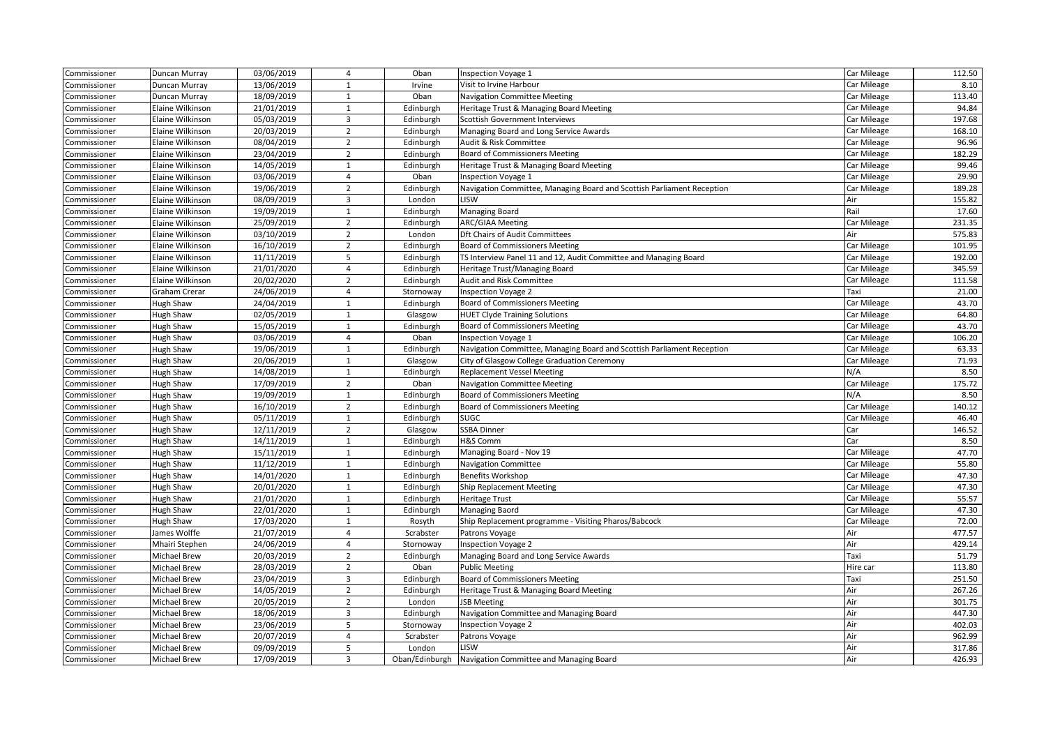| Commissioner | Duncan Murray       | 03/06/2019 | $\overline{4}$ | Oban           | Inspection Voyage 1                                                    | Car Mileage | 112.50 |
|--------------|---------------------|------------|----------------|----------------|------------------------------------------------------------------------|-------------|--------|
| Commissioner | Duncan Murray       | 13/06/2019 | $\mathbf{1}$   | Irvine         | Visit to Irvine Harbour                                                | Car Mileage | 8.10   |
| Commissioner | Duncan Murray       | 18/09/2019 | 1              | Oban           | Navigation Committee Meeting                                           | Car Mileage | 113.40 |
| Commissioner | Elaine Wilkinson    | 21/01/2019 | $\mathbf{1}$   | Edinburgh      | Heritage Trust & Managing Board Meeting                                | Car Mileage | 94.84  |
| Commissioner | Elaine Wilkinson    | 05/03/2019 | 3              | Edinburgh      | Scottish Government Interviews                                         | Car Mileage | 197.68 |
| Commissioner | Elaine Wilkinson    | 20/03/2019 | $\overline{2}$ | Edinburgh      | Managing Board and Long Service Awards                                 | Car Mileage | 168.10 |
| Commissioner | Elaine Wilkinson    | 08/04/2019 | $\overline{2}$ | Edinburgh      | Audit & Risk Committee                                                 | Car Mileage | 96.96  |
| Commissioner | Elaine Wilkinson    | 23/04/2019 | $\overline{2}$ | Edinburgh      | <b>Board of Commissioners Meeting</b>                                  | Car Mileage | 182.29 |
| Commissioner | Elaine Wilkinson    | 14/05/2019 | $\mathbf{1}$   | Edinburgh      | Heritage Trust & Managing Board Meeting                                | Car Mileage | 99.46  |
| Commissioner | Elaine Wilkinson    | 03/06/2019 | $\overline{4}$ | Oban           | <b>Inspection Voyage 1</b>                                             | Car Mileage | 29.90  |
| Commissioner | Elaine Wilkinson    | 19/06/2019 | $\overline{2}$ | Edinburgh      | Navigation Committee, Managing Board and Scottish Parliament Reception | Car Mileage | 189.28 |
| Commissioner | Elaine Wilkinson    | 08/09/2019 | 3              | London         | LISW                                                                   | Air         | 155.82 |
| Commissioner | Elaine Wilkinson    | 19/09/2019 | $\mathbf{1}$   | Edinburgh      | Managing Board                                                         | Rail        | 17.60  |
| Commissioner | Elaine Wilkinson    | 25/09/2019 | $\overline{2}$ | Edinburgh      | <b>ARC/GIAA Meeting</b>                                                | Car Mileage | 231.35 |
| Commissioner | Elaine Wilkinson    | 03/10/2019 | $\overline{2}$ | London         | <b>Dft Chairs of Audit Committees</b>                                  | Air         | 575.83 |
| Commissioner | Elaine Wilkinson    | 16/10/2019 | $\overline{2}$ | Edinburgh      | <b>Board of Commissioners Meeting</b>                                  | Car Mileage | 101.95 |
| Commissioner | Elaine Wilkinson    | 11/11/2019 | 5              | Edinburgh      | TS Interview Panel 11 and 12, Audit Committee and Managing Board       | Car Mileage | 192.00 |
| Commissioner | Elaine Wilkinson    | 21/01/2020 | $\overline{4}$ | Edinburgh      | Heritage Trust/Managing Board                                          | Car Mileage | 345.59 |
| Commissioner | Elaine Wilkinson    | 20/02/2020 | $\overline{2}$ | Edinburgh      | Audit and Risk Committee                                               | Car Mileage | 111.58 |
| Commissioner | Graham Crerar       | 24/06/2019 | $\overline{4}$ | Stornoway      | <b>Inspection Voyage 2</b>                                             | Taxi        | 21.00  |
| Commissioner | Hugh Shaw           | 24/04/2019 | $\mathbf{1}$   | Edinburgh      | <b>Board of Commissioners Meeting</b>                                  | Car Mileage | 43.70  |
| Commissioner | Hugh Shaw           | 02/05/2019 | $\mathbf{1}$   | Glasgow        | <b>HUET Clyde Training Solutions</b>                                   | Car Mileage | 64.80  |
| Commissioner | Hugh Shaw           | 15/05/2019 | $\mathbf{1}$   | Edinburgh      | <b>Board of Commissioners Meeting</b>                                  | Car Mileage | 43.70  |
| Commissioner | Hugh Shaw           | 03/06/2019 | $\overline{4}$ | Oban           | Inspection Voyage 1                                                    | Car Mileage | 106.20 |
| Commissioner | Hugh Shaw           | 19/06/2019 | $\mathbf{1}$   | Edinburgh      | Navigation Committee, Managing Board and Scottish Parliament Reception | Car Mileage | 63.33  |
| Commissioner | Hugh Shaw           | 20/06/2019 | 1              | Glasgow        | City of Glasgow College Graduation Ceremony                            | Car Mileage | 71.93  |
| Commissioner | Hugh Shaw           | 14/08/2019 | $\mathbf{1}$   | Edinburgh      | <b>Replacement Vessel Meeting</b>                                      | N/A         | 8.50   |
| Commissioner | Hugh Shaw           | 17/09/2019 | $\overline{2}$ | Oban           | <b>Navigation Committee Meeting</b>                                    | Car Mileage | 175.72 |
| Commissioner | Hugh Shaw           | 19/09/2019 | $\mathbf{1}$   | Edinburgh      | <b>Board of Commissioners Meeting</b>                                  | N/A         | 8.50   |
| Commissioner | Hugh Shaw           | 16/10/2019 | $\overline{2}$ | Edinburgh      | <b>Board of Commissioners Meeting</b>                                  | Car Mileage | 140.12 |
| Commissioner | Hugh Shaw           | 05/11/2019 | 1              | Edinburgh      | <b>SUGC</b>                                                            | Car Mileage | 46.40  |
| Commissioner | Hugh Shaw           | 12/11/2019 | $\overline{2}$ | Glasgow        | <b>SSBA Dinner</b>                                                     | Car         | 146.52 |
| Commissioner | Hugh Shaw           | 14/11/2019 | 1              | Edinburgh      | H&S Comm                                                               | Car         | 8.50   |
| Commissioner | Hugh Shaw           | 15/11/2019 | $\mathbf{1}$   | Edinburgh      | Managing Board - Nov 19                                                | Car Mileage | 47.70  |
| Commissioner | Hugh Shaw           | 11/12/2019 | $\mathbf{1}$   | Edinburgh      | <b>Navigation Committee</b>                                            | Car Mileage | 55.80  |
| Commissioner | Hugh Shaw           | 14/01/2020 | $\mathbf{1}$   | Edinburgh      | <b>Benefits Workshop</b>                                               | Car Mileage | 47.30  |
| Commissioner | Hugh Shaw           | 20/01/2020 | $\mathbf{1}$   | Edinburgh      | Ship Replacement Meeting                                               | Car Mileage | 47.30  |
| Commissioner | Hugh Shaw           | 21/01/2020 | $\mathbf{1}$   | Edinburgh      | <b>Heritage Trust</b>                                                  | Car Mileage | 55.57  |
| Commissioner | Hugh Shaw           | 22/01/2020 | $\mathbf{1}$   | Edinburgh      | Managing Baord                                                         | Car Mileage | 47.30  |
| Commissioner | Hugh Shaw           | 17/03/2020 | $\mathbf{1}$   | Rosyth         | Ship Replacement programme - Visiting Pharos/Babcock                   | Car Mileage | 72.00  |
| Commissioner | James Wolffe        | 21/07/2019 | $\overline{4}$ | Scrabster      | Patrons Voyage                                                         | Air         | 477.57 |
| Commissioner | Mhairi Stephen      | 24/06/2019 | $\overline{4}$ | Stornoway      | <b>Inspection Voyage 2</b>                                             | Air         | 429.14 |
| Commissioner | Michael Brew        | 20/03/2019 | $\overline{2}$ | Edinburgh      | Managing Board and Long Service Awards                                 | Taxi        | 51.79  |
| Commissioner | Michael Brew        | 28/03/2019 | $\overline{2}$ | Oban           | <b>Public Meeting</b>                                                  | Hire car    | 113.80 |
| Commissioner | Michael Brew        | 23/04/2019 | 3              | Edinburgh      | <b>Board of Commissioners Meeting</b>                                  | Taxi        | 251.50 |
| Commissioner | Michael Brew        | 14/05/2019 | $\overline{2}$ | Edinburgh      | Heritage Trust & Managing Board Meeting                                | Air         | 267.26 |
| Commissioner | <b>Michael Brew</b> | 20/05/2019 | $\overline{2}$ | London         | <b>JSB Meeting</b>                                                     | Air         | 301.75 |
| Commissioner | Michael Brew        | 18/06/2019 | 3              | Edinburgh      | Navigation Committee and Managing Board                                | Air         | 447.30 |
| Commissioner | Michael Brew        | 23/06/2019 | 5              | Stornoway      | <b>Inspection Voyage 2</b>                                             | Air         | 402.03 |
| Commissioner | Michael Brew        | 20/07/2019 | $\overline{4}$ | Scrabster      | Patrons Voyage                                                         | Air         | 962.99 |
| Commissioner | Michael Brew        | 09/09/2019 | 5              | London         | LISW                                                                   | Air         | 317.86 |
| Commissioner | Michael Brew        | 17/09/2019 | 3              | Oban/Edinburgh | Navigation Committee and Managing Board                                | Air         | 426.93 |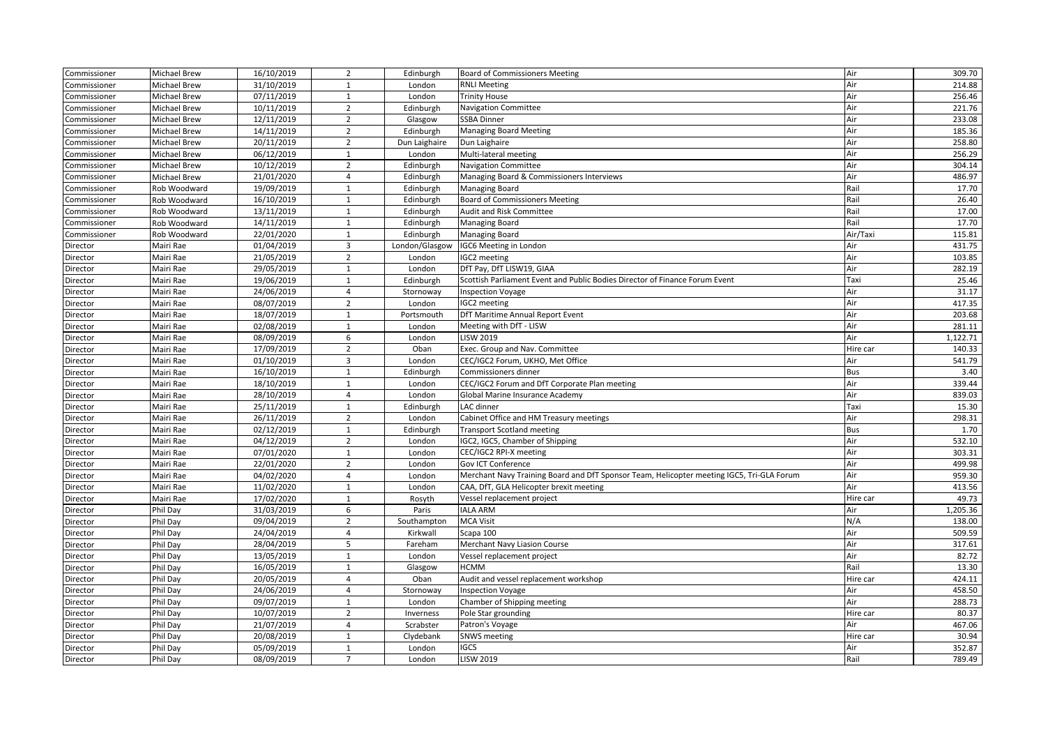| Commissioner | <b>Michael Brew</b> | 16/10/2019 | $\overline{2}$ | Edinburgh              | <b>Board of Commissioners Meeting</b>                                                     | Air        | 309.70   |
|--------------|---------------------|------------|----------------|------------------------|-------------------------------------------------------------------------------------------|------------|----------|
| Commissioner | <b>Michael Brew</b> | 31/10/2019 | $\mathbf{1}$   | London                 | <b>RNLI Meeting</b>                                                                       | Air        | 214.88   |
| Commissioner | <b>Michael Brew</b> | 07/11/2019 | $\mathbf{1}$   | London                 | <b>Trinity House</b>                                                                      | Air        | 256.46   |
| Commissioner | Michael Brew        | 10/11/2019 | $\overline{2}$ | Edinburgh              | <b>Navigation Committee</b>                                                               | Air        | 221.76   |
| Commissioner | Michael Brew        | 12/11/2019 | $\overline{2}$ | Glasgow                | <b>SSBA Dinner</b>                                                                        | Air        | 233.08   |
| Commissioner | <b>Michael Brew</b> | 14/11/2019 | $\overline{2}$ | Edinburgh              | <b>Managing Board Meeting</b>                                                             | Air        | 185.36   |
| Commissioner | <b>Michael Brew</b> | 20/11/2019 | $\overline{2}$ | Dun Laighaire          | Dun Laighaire                                                                             | Air        | 258.80   |
| Commissioner | <b>Michael Brew</b> | 06/12/2019 | $\mathbf{1}$   | London                 | Multi-lateral meeting                                                                     | Air        | 256.29   |
| Commissioner | <b>Michael Brew</b> | 10/12/2019 | $\overline{2}$ | Edinburgh              | <b>Navigation Committee</b>                                                               | Air        | 304.14   |
| Commissioner | <b>Michael Brew</b> | 21/01/2020 | $\overline{4}$ | Edinburgh              | Managing Board & Commissioners Interviews                                                 | Air        | 486.97   |
| Commissioner |                     | 19/09/2019 | $\mathbf{1}$   |                        | Managing Board                                                                            | Rail       | 17.70    |
| Commissioner | Rob Woodward        | 16/10/2019 | $\mathbf{1}$   | Edinburgh<br>Edinburgh | <b>Board of Commissioners Meeting</b>                                                     | Rail       | 26.40    |
|              | Rob Woodward        | 13/11/2019 | $\mathbf{1}$   |                        |                                                                                           | Rail       | 17.00    |
| Commissioner | Rob Woodward        |            |                | Edinburgh              | Audit and Risk Committee                                                                  | Rail       |          |
| Commissioner | Rob Woodward        | 14/11/2019 | $\mathbf{1}$   | Edinburgh              | Managing Board                                                                            |            | 17.70    |
| Commissioner | Rob Woodward        | 22/01/2020 | $\mathbf{1}$   | Edinburgh              | Managing Board                                                                            | Air/Taxi   | 115.81   |
| Director     | Mairi Rae           | 01/04/2019 | 3              | London/Glasgow         | IGC6 Meeting in London                                                                    | Air        | 431.75   |
| Director     | Mairi Rae           | 21/05/2019 | $\overline{2}$ | London                 | IGC2 meeting                                                                              | Air        | 103.85   |
| Director     | Mairi Rae           | 29/05/2019 | $\mathbf{1}$   | London                 | DfT Pay, DfT LISW19, GIAA                                                                 | Air        | 282.19   |
| Director     | Mairi Rae           | 19/06/2019 | 1              | Edinburgh              | Scottish Parliament Event and Public Bodies Director of Finance Forum Event               | Taxi       | 25.46    |
| Director     | Mairi Rae           | 24/06/2019 | $\overline{4}$ | Stornoway              | <b>Inspection Voyage</b>                                                                  | Air        | 31.17    |
| Director     | Mairi Rae           | 08/07/2019 | $\overline{2}$ | London                 | IGC2 meeting                                                                              | Air        | 417.35   |
| Director     | Mairi Rae           | 18/07/2019 | $\mathbf{1}$   | Portsmouth             | DfT Maritime Annual Report Event                                                          | Air        | 203.68   |
| Director     | Mairi Rae           | 02/08/2019 | $\mathbf{1}$   | London                 | Meeting with DfT - LISW                                                                   | Air        | 281.11   |
| Director     | Mairi Rae           | 08/09/2019 | 6              | London                 | <b>LISW 2019</b>                                                                          | Air        | 1,122.71 |
| Director     | Mairi Rae           | 17/09/2019 | $\overline{2}$ | Oban                   | Exec. Group and Nav. Committee                                                            | Hire car   | 140.33   |
| Director     | Mairi Rae           | 01/10/2019 | 3              | London                 | CEC/IGC2 Forum, UKHO, Met Office                                                          | Air        | 541.79   |
| Director     | Mairi Rae           | 16/10/2019 | $\mathbf{1}$   | Edinburgh              | Commissioners dinner                                                                      | <b>Bus</b> | 3.40     |
| Director     | Mairi Rae           | 18/10/2019 | $\mathbf{1}$   | London                 | CEC/IGC2 Forum and DfT Corporate Plan meeting                                             | Air        | 339.44   |
| Director     | Mairi Rae           | 28/10/2019 | $\overline{4}$ | London                 | Global Marine Insurance Academy                                                           | Air        | 839.03   |
| Director     | Mairi Rae           | 25/11/2019 | $\mathbf{1}$   | Edinburgh              | LAC dinner                                                                                | Taxi       | 15.30    |
| Director     | Mairi Rae           | 26/11/2019 | $\overline{2}$ | London                 | Cabinet Office and HM Treasury meetings                                                   | Air        | 298.31   |
| Director     | Mairi Rae           | 02/12/2019 | $\mathbf{1}$   | Edinburgh              | <b>Transport Scotland meeting</b>                                                         | Bus        | 1.70     |
| Director     | Mairi Rae           | 04/12/2019 | $\overline{2}$ | London                 | IGC2, IGC5, Chamber of Shipping                                                           | Air        | 532.10   |
| Director     | Mairi Rae           | 07/01/2020 | $\mathbf{1}$   | London                 | CEC/IGC2 RPI-X meeting                                                                    | Air        | 303.31   |
| Director     | Mairi Rae           | 22/01/2020 | $\overline{2}$ | London                 | Gov ICT Conference                                                                        | Air        | 499.98   |
| Director     | Mairi Rae           | 04/02/2020 | $\overline{4}$ | London                 | Merchant Navy Training Board and DfT Sponsor Team, Helicopter meeting IGC5, Tri-GLA Forum | Air        | 959.30   |
| Director     | Mairi Rae           | 11/02/2020 | $\mathbf{1}$   | London                 | CAA, DfT, GLA Helicopter brexit meeting                                                   | Air        | 413.56   |
| Director     | Mairi Rae           | 17/02/2020 | $\mathbf{1}$   | Rosyth                 | Vessel replacement project                                                                | Hire car   | 49.73    |
| Director     | Phil Day            | 31/03/2019 | 6              | Paris                  | <b>IALA ARM</b>                                                                           | Air        | 1,205.36 |
| Director     | Phil Day            | 09/04/2019 | $\overline{2}$ | Southampton            | <b>MCA Visit</b>                                                                          | N/A        | 138.00   |
| Director     | Phil Day            | 24/04/2019 | $\overline{4}$ | Kirkwall               | Scapa 100                                                                                 | Air        | 509.59   |
| Director     | Phil Day            | 28/04/2019 | 5              | Fareham                | Merchant Navy Liasion Course                                                              | Air        | 317.61   |
| Director     | Phil Day            | 13/05/2019 | $\mathbf{1}$   | London                 | Vessel replacement project                                                                | Air        | 82.72    |
| Director     | Phil Day            | 16/05/2019 | $\mathbf{1}$   | Glasgow                | <b>HCMM</b>                                                                               | Rail       | 13.30    |
| Director     | Phil Day            | 20/05/2019 | $\overline{4}$ | Oban                   | Audit and vessel replacement workshop                                                     | Hire car   | 424.11   |
| Director     | Phil Day            | 24/06/2019 | $\overline{4}$ | Stornoway              | <b>Inspection Voyage</b>                                                                  | Air        | 458.50   |
| Director     | Phil Day            | 09/07/2019 | $\mathbf{1}$   | London                 | Chamber of Shipping meeting                                                               | Air        | 288.73   |
| Director     | Phil Day            | 10/07/2019 | $\overline{2}$ | Inverness              | Pole Star grounding                                                                       | Hire car   | 80.37    |
| Director     | Phil Day            | 21/07/2019 | $\overline{4}$ | Scrabster              | Patron's Voyage                                                                           | Air        | 467.06   |
| Director     | Phil Day            | 20/08/2019 | 1              | Clydebank              | <b>SNWS meeting</b>                                                                       | Hire car   | 30.94    |
| Director     | Phil Day            | 05/09/2019 | $\mathbf{1}$   | London                 | IGC5                                                                                      | Air        | 352.87   |
| Director     | Phil Day            | 08/09/2019 | $\overline{7}$ | London                 | <b>LISW 2019</b>                                                                          | Rail       | 789.49   |
|              |                     |            |                |                        |                                                                                           |            |          |